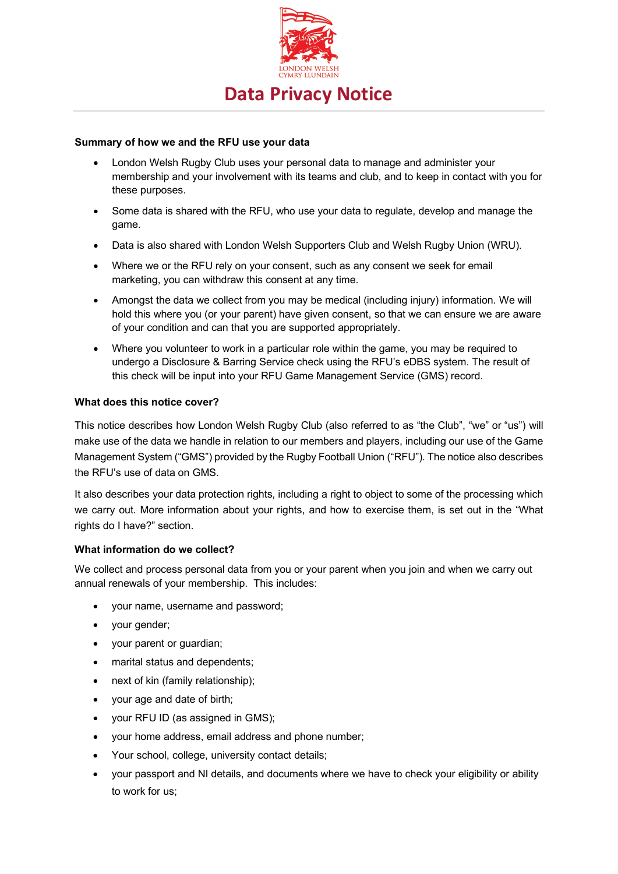

# **Summary of how we and the RFU use your data**

- London Welsh Rugby Club uses your personal data to manage and administer your membership and your involvement with its teams and club, and to keep in contact with you for these purposes.
- Some data is shared with the RFU, who use your data to regulate, develop and manage the game.
- Data is also shared with London Welsh Supporters Club and Welsh Rugby Union (WRU).
- Where we or the RFU rely on your consent, such as any consent we seek for email marketing, you can withdraw this consent at any time.
- Amongst the data we collect from you may be medical (including injury) information. We will hold this where you (or your parent) have given consent, so that we can ensure we are aware of your condition and can that you are supported appropriately.
- Where you volunteer to work in a particular role within the game, you may be required to undergo a Disclosure & Barring Service check using the RFU's eDBS system. The result of this check will be input into your RFU Game Management Service (GMS) record.

## **What does this notice cover?**

This notice describes how London Welsh Rugby Club (also referred to as "the Club", "we" or "us") will make use of the data we handle in relation to our members and players, including our use of the Game Management System ("GMS") provided by the Rugby Football Union ("RFU"). The notice also describes the RFU's use of data on GMS.

It also describes your data protection rights, including a right to object to some of the processing which we carry out. More information about your rights, and how to exercise them, is set out in the "What rights do I have?" section.

## **What information do we collect?**

We collect and process personal data from you or your parent when you join and when we carry out annual renewals of your membership. This includes:

- your name, username and password;
- your gender;
- your parent or guardian;
- marital status and dependents;
- next of kin (family relationship);
- your age and date of birth;
- your RFU ID (as assigned in GMS);
- your home address, email address and phone number;
- Your school, college, university contact details;
- your passport and NI details, and documents where we have to check your eligibility or ability to work for us;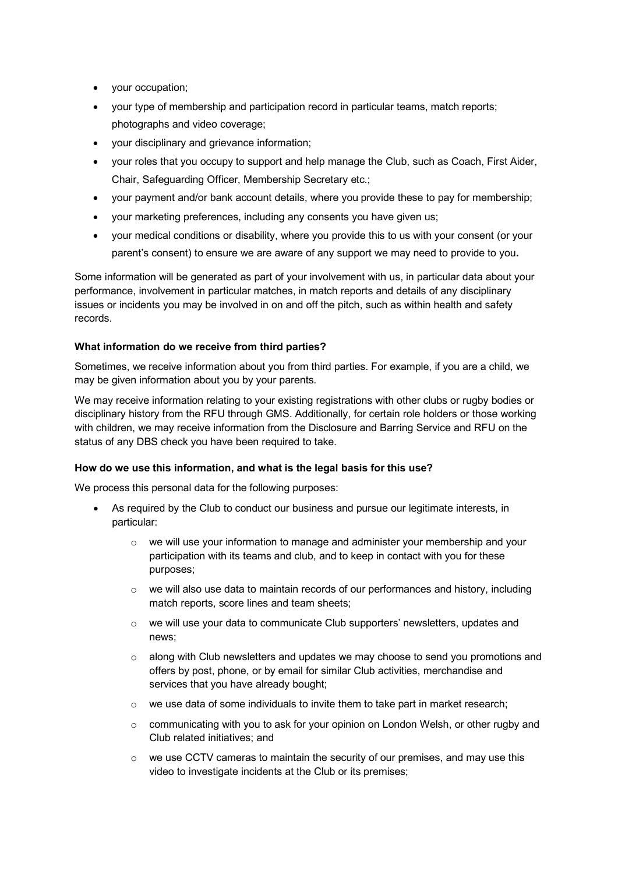- your occupation;
- your type of membership and participation record in particular teams, match reports; photographs and video coverage;
- your disciplinary and grievance information;
- your roles that you occupy to support and help manage the Club, such as Coach, First Aider, Chair, Safeguarding Officer, Membership Secretary etc.;
- your payment and/or bank account details, where you provide these to pay for membership;
- your marketing preferences, including any consents you have given us;
- your medical conditions or disability, where you provide this to us with your consent (or your parent's consent) to ensure we are aware of any support we may need to provide to you**.**

Some information will be generated as part of your involvement with us, in particular data about your performance, involvement in particular matches, in match reports and details of any disciplinary issues or incidents you may be involved in on and off the pitch, such as within health and safety records.

## **What information do we receive from third parties?**

Sometimes, we receive information about you from third parties. For example, if you are a child, we may be given information about you by your parents.

We may receive information relating to your existing registrations with other clubs or rugby bodies or disciplinary history from the RFU through GMS. Additionally, for certain role holders or those working with children, we may receive information from the Disclosure and Barring Service and RFU on the status of any DBS check you have been required to take.

## **How do we use this information, and what is the legal basis for this use?**

We process this personal data for the following purposes:

- As required by the Club to conduct our business and pursue our legitimate interests, in particular:
	- $\circ$  we will use your information to manage and administer your membership and your participation with its teams and club, and to keep in contact with you for these purposes;
	- $\circ$  we will also use data to maintain records of our performances and history, including match reports, score lines and team sheets;
	- $\circ$  we will use your data to communicate Club supporters' newsletters, updates and news;
	- o along with Club newsletters and updates we may choose to send you promotions and offers by post, phone, or by email for similar Club activities, merchandise and services that you have already bought;
	- $\circ$  we use data of some individuals to invite them to take part in market research;
	- $\circ$  communicating with you to ask for your opinion on London Welsh, or other rugby and Club related initiatives; and
	- $\circ$  we use CCTV cameras to maintain the security of our premises, and may use this video to investigate incidents at the Club or its premises;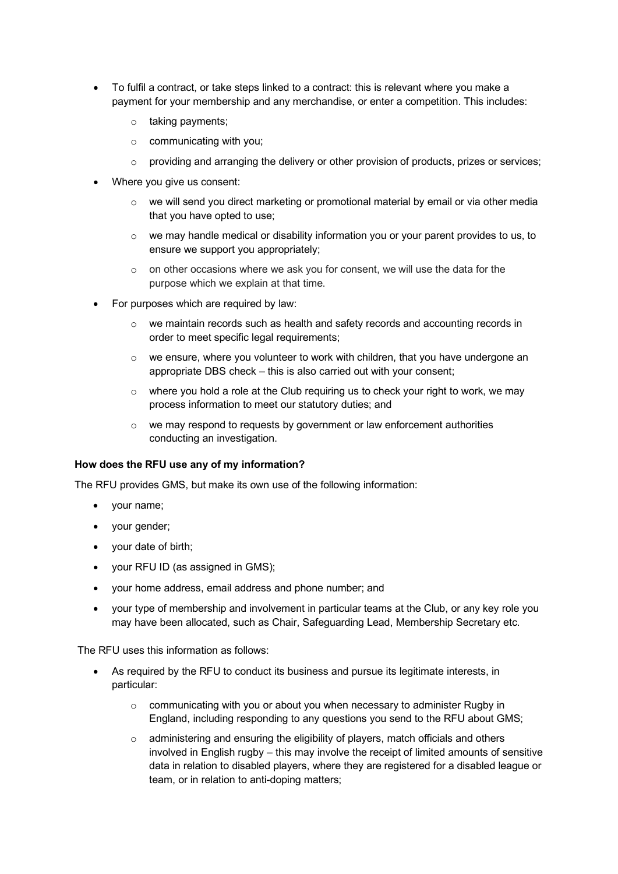- To fulfil a contract, or take steps linked to a contract: this is relevant where you make a payment for your membership and any merchandise, or enter a competition. This includes:
	- o taking payments;
	- o communicating with you;
	- $\circ$  providing and arranging the delivery or other provision of products, prizes or services;
- Where you give us consent:
	- o we will send you direct marketing or promotional material by email or via other media that you have opted to use;
	- $\circ$  we may handle medical or disability information you or your parent provides to us, to ensure we support you appropriately;
	- o on other occasions where we ask you for consent, we will use the data for the purpose which we explain at that time.
- For purposes which are required by law:
	- $\circ$  we maintain records such as health and safety records and accounting records in order to meet specific legal requirements;
	- $\circ$  we ensure, where you volunteer to work with children, that you have undergone an appropriate DBS check – this is also carried out with your consent;
	- o where you hold a role at the Club requiring us to check your right to work, we may process information to meet our statutory duties; and
	- o we may respond to requests by government or law enforcement authorities conducting an investigation.

### **How does the RFU use any of my information?**

The RFU provides GMS, but make its own use of the following information:

- your name;
- your gender;
- your date of birth;
- your RFU ID (as assigned in GMS);
- your home address, email address and phone number; and
- your type of membership and involvement in particular teams at the Club, or any key role you may have been allocated, such as Chair, Safeguarding Lead, Membership Secretary etc.

The RFU uses this information as follows:

- As required by the RFU to conduct its business and pursue its legitimate interests, in particular:
	- $\circ$  communicating with you or about you when necessary to administer Rugby in England, including responding to any questions you send to the RFU about GMS;
	- $\circ$  administering and ensuring the eligibility of players, match officials and others involved in English rugby – this may involve the receipt of limited amounts of sensitive data in relation to disabled players, where they are registered for a disabled league or team, or in relation to anti-doping matters;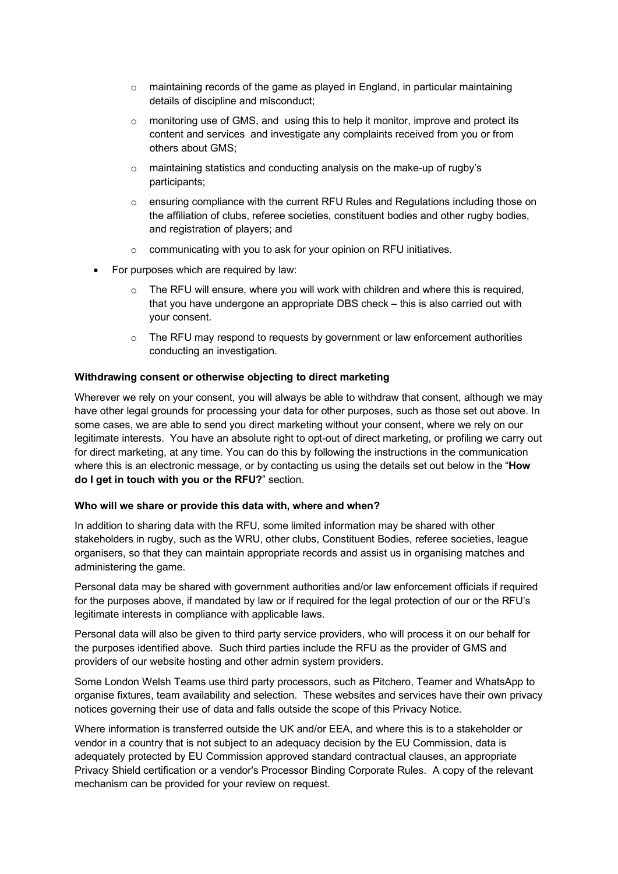- $\circ$  maintaining records of the game as played in England, in particular maintaining details of discipline and misconduct;
- $\circ$  monitoring use of GMS, and using this to help it monitor, improve and protect its content and services and investigate any complaints received from you or from others about GMS;
- o maintaining statistics and conducting analysis on the make-up of rugby's participants;
- o ensuring compliance with the current RFU Rules and Regulations including those on the affiliation of clubs, referee societies, constituent bodies and other rugby bodies, and registration of players; and
- o communicating with you to ask for your opinion on RFU initiatives.
- For purposes which are required by law:
	- The RFU will ensure, where you will work with children and where this is required, that you have undergone an appropriate DBS check – this is also carried out with your consent.
	- $\circ$  The RFU may respond to requests by government or law enforcement authorities conducting an investigation.

### **Withdrawing consent or otherwise objecting to direct marketing**

Wherever we rely on your consent, you will always be able to withdraw that consent, although we may have other legal grounds for processing your data for other purposes, such as those set out above. In some cases, we are able to send you direct marketing without your consent, where we rely on our legitimate interests. You have an absolute right to opt-out of direct marketing, or profiling we carry out for direct marketing, at any time. You can do this by following the instructions in the communication where this is an electronic message, or by contacting us using the details set out below in the "**How do I get in touch with you or the RFU?**" section.

#### **Who will we share or provide this data with, where and when?**

In addition to sharing data with the RFU, some limited information may be shared with other stakeholders in rugby, such as the WRU, other clubs, Constituent Bodies, referee societies, league organisers, so that they can maintain appropriate records and assist us in organising matches and administering the game.

Personal data may be shared with government authorities and/or law enforcement officials if required for the purposes above, if mandated by law or if required for the legal protection of our or the RFU's legitimate interests in compliance with applicable laws.

Personal data will also be given to third party service providers, who will process it on our behalf for the purposes identified above. Such third parties include the RFU as the provider of GMS and providers of our website hosting and other admin system providers.

Some London Welsh Teams use third party processors, such as Pitchero, Teamer and WhatsApp to organise fixtures, team availability and selection. These websites and services have their own privacy notices governing their use of data and falls outside the scope of this Privacy Notice.

Where information is transferred outside the UK and/or EEA, and where this is to a stakeholder or vendor in a country that is not subject to an adequacy decision by the EU Commission, data is adequately protected by EU Commission approved standard contractual clauses, an appropriate Privacy Shield certification or a vendor's Processor Binding Corporate Rules. A copy of the relevant mechanism can be provided for your review on request.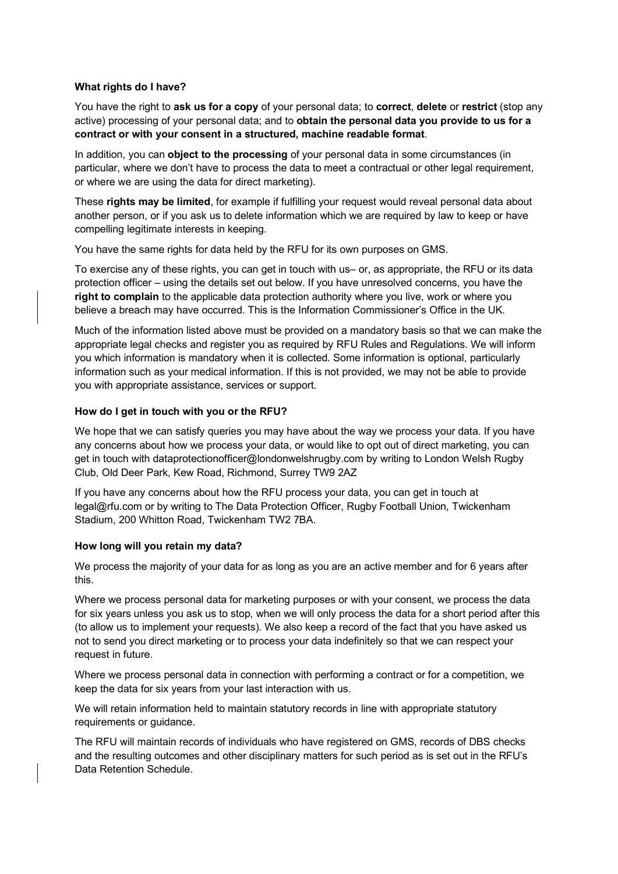## **What rights do I have?**

You have the right to **ask us for a copy** of your personal data; to **correct**, **delete** or **restrict** (stop any active) processing of your personal data; and to **obtain the personal data you provide to us for a contract or with your consent in a structured, machine readable format**.

In addition, you can **object to the processing** of your personal data in some circumstances (in particular, where we don't have to process the data to meet a contractual or other legal requirement, or where we are using the data for direct marketing).

These **rights may be limited**, for example if fulfilling your request would reveal personal data about another person, or if you ask us to delete information which we are required by law to keep or have compelling legitimate interests in keeping.

You have the same rights for data held by the RFU for its own purposes on GMS.

To exercise any of these rights, you can get in touch with us– or, as appropriate, the RFU or its data protection officer – using the details set out below. If you have unresolved concerns, you have the **right to complain** to the applicable data protection authority where you live, work or where you believe a breach may have occurred. This is the Information Commissioner's Office in the UK.

Much of the information listed above must be provided on a mandatory basis so that we can make the appropriate legal checks and register you as required by RFU Rules and Regulations. We will inform you which information is mandatory when it is collected. Some information is optional, particularly information such as your medical information. If this is not provided, we may not be able to provide you with appropriate assistance, services or support.

### **How do I get in touch with you or the RFU?**

We hope that we can satisfy queries you may have about the way we process your data. If you have any concerns about how we process your data, or would like to opt out of direct marketing, you can get in touch with dataprotectionofficer@londonwelshrugby.com by writing to London Welsh Rugby Club, Old Deer Park, Kew Road, Richmond, Surrey TW9 2AZ

If you have any concerns about how the RFU process your data, you can get in touch at legal@rfu.com or by writing to The Data Protection Officer, Rugby Football Union, Twickenham Stadium, 200 Whitton Road, Twickenham TW2 7BA.

## **How long will you retain my data?**

We process the majority of your data for as long as you are an active member and for 6 years after this.

Where we process personal data for marketing purposes or with your consent, we process the data for six years unless you ask us to stop, when we will only process the data for a short period after this (to allow us to implement your requests). We also keep a record of the fact that you have asked us not to send you direct marketing or to process your data indefinitely so that we can respect your request in future.

Where we process personal data in connection with performing a contract or for a competition, we keep the data for six years from your last interaction with us.

We will retain information held to maintain statutory records in line with appropriate statutory requirements or guidance.

The RFU will maintain records of individuals who have registered on GMS, records of DBS checks and the resulting outcomes and other disciplinary matters for such period as is set out in the RFU's Data Retention Schedule.